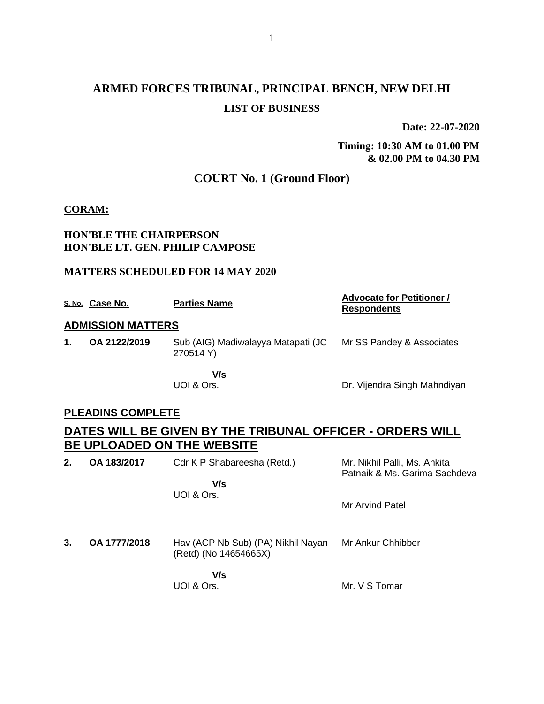# **ARMED FORCES TRIBUNAL, PRINCIPAL BENCH, NEW DELHI LIST OF BUSINESS**

**Date: 22-07-2020**

**Timing: 10:30 AM to 01.00 PM & 02.00 PM to 04.30 PM**

# **COURT No. 1 (Ground Floor)**

### **CORAM:**

### **HON'BLE THE CHAIRPERSON HON'BLE LT. GEN. PHILIP CAMPOSE**

### **MATTERS SCHEDULED FOR 14 MAY 2020**

|    | S. No. Case No.          | <b>Parties Name</b>                             | <b>Advocate for Petitioner /</b><br><b>Respondents</b> |
|----|--------------------------|-------------------------------------------------|--------------------------------------------------------|
|    | <b>ADMISSION MATTERS</b> |                                                 |                                                        |
| 1. | OA 2122/2019             | Sub (AIG) Madiwalayya Matapati (JC<br>270514 Y) | Mr SS Pandey & Associates                              |
|    |                          | V/s<br>UOI & Ors.                               | Dr. Vijendra Singh Mahndiyan                           |

### **PLEADINS COMPLETE**

# **DATES WILL BE GIVEN BY THE TRIBUNAL OFFICER - ORDERS WILL BE UPLOADED ON THE WEBSITE**

| 2. | OA 183/2017  | Cdr K P Shabareesha (Retd.)<br>V/s<br>UOI & Ors.            | Mr. Nikhil Palli, Ms. Ankita<br>Patnaik & Ms. Garima Sachdeva |
|----|--------------|-------------------------------------------------------------|---------------------------------------------------------------|
|    |              |                                                             | Mr Arvind Patel                                               |
| 3. | OA 1777/2018 | Hav (ACP Nb Sub) (PA) Nikhil Nayan<br>(Retd) (No 14654665X) | Mr Ankur Chhibber                                             |
|    |              | V/s                                                         |                                                               |

UOI & Ors.

Mr. V S Tomar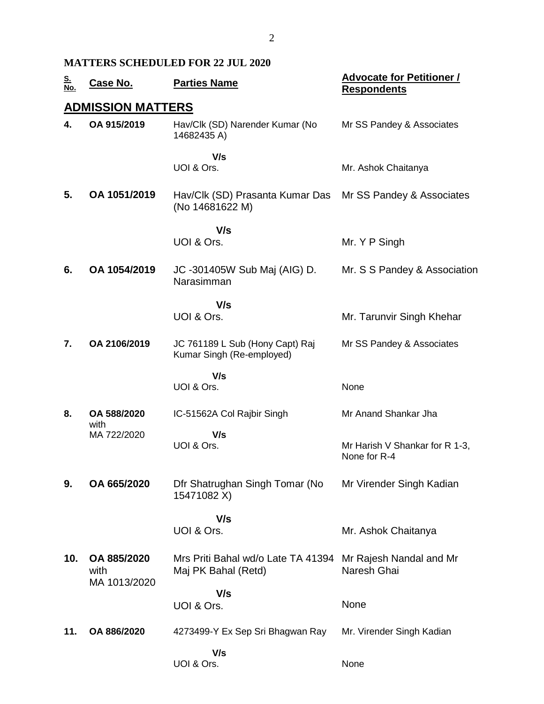### **MATTERS SCHEDULED FOR 22 JUL 2020**

| <u>S.<br/>No.</u> | <b>Case No.</b>                     | <b>Parties Name</b>                                          | <b>Advocate for Petitioner /</b><br><b>Respondents</b> |
|-------------------|-------------------------------------|--------------------------------------------------------------|--------------------------------------------------------|
|                   | <b>ADMISSION MATTERS</b>            |                                                              |                                                        |
| 4.                | OA 915/2019                         | Hav/Clk (SD) Narender Kumar (No<br>14682435 A)               | Mr SS Pandey & Associates                              |
|                   |                                     | V/s<br>UOI & Ors.                                            | Mr. Ashok Chaitanya                                    |
| 5.                | OA 1051/2019                        | Hav/Clk (SD) Prasanta Kumar Das<br>(No 14681622 M)           | Mr SS Pandey & Associates                              |
|                   |                                     | V/s                                                          |                                                        |
|                   |                                     | UOI & Ors.                                                   | Mr. Y P Singh                                          |
| 6.                | OA 1054/2019                        | JC -301405W Sub Maj (AIG) D.<br>Narasimman                   | Mr. S S Pandey & Association                           |
|                   |                                     | V/s                                                          |                                                        |
|                   |                                     | UOI & Ors.                                                   | Mr. Tarunvir Singh Khehar                              |
| 7.                | OA 2106/2019                        | JC 761189 L Sub (Hony Capt) Raj<br>Kumar Singh (Re-employed) | Mr SS Pandey & Associates                              |
|                   |                                     | V/s<br>UOI & Ors.                                            | None                                                   |
| 8.                | OA 588/2020<br>with                 | IC-51562A Col Rajbir Singh                                   | Mr Anand Shankar Jha                                   |
|                   | MA 722/2020                         | V/s<br>UOI & Ors.                                            | Mr Harish V Shankar for R 1-3,<br>None for R-4         |
| 9.                | OA 665/2020                         | Dfr Shatrughan Singh Tomar (No<br>15471082 X)                | Mr Virender Singh Kadian                               |
|                   |                                     | V/s                                                          |                                                        |
|                   |                                     | UOI & Ors.                                                   | Mr. Ashok Chaitanya                                    |
| 10.               | OA 885/2020<br>with<br>MA 1013/2020 | Mrs Priti Bahal wd/o Late TA 41394<br>Maj PK Bahal (Retd)    | Mr Rajesh Nandal and Mr<br>Naresh Ghai                 |
|                   |                                     | V/s                                                          |                                                        |
|                   |                                     | UOI & Ors.                                                   | None                                                   |
| 11.               | OA 886/2020                         | 4273499-Y Ex Sep Sri Bhagwan Ray                             | Mr. Virender Singh Kadian                              |
|                   |                                     | V/s<br>UOI & Ors.                                            | None                                                   |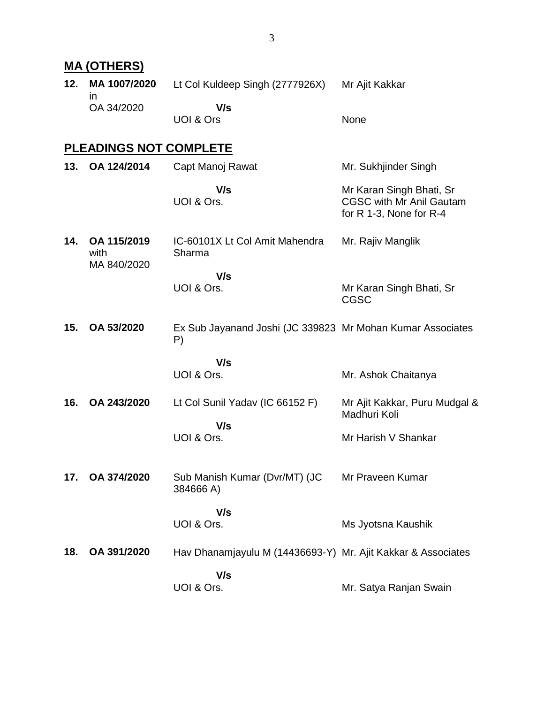|     | <b>MA (OTHERS)</b>                 |                                                                  |                                                                                        |
|-----|------------------------------------|------------------------------------------------------------------|----------------------------------------------------------------------------------------|
| 12. | MA 1007/2020<br>$\mathsf{I}$       | Lt Col Kuldeep Singh (2777926X)                                  | Mr Ajit Kakkar                                                                         |
|     | OA 34/2020                         | V/s<br>UOI & Ors                                                 | None                                                                                   |
|     | <b>PLEADINGS NOT COMPLETE</b>      |                                                                  |                                                                                        |
| 13. | OA 124/2014                        | Capt Manoj Rawat                                                 | Mr. Sukhjinder Singh                                                                   |
|     |                                    | V/s<br>UOI & Ors.                                                | Mr Karan Singh Bhati, Sr<br><b>CGSC with Mr Anil Gautam</b><br>for R 1-3, None for R-4 |
| 14. | OA 115/2019<br>with<br>MA 840/2020 | IC-60101X Lt Col Amit Mahendra<br>Sharma                         | Mr. Rajiv Manglik                                                                      |
|     |                                    | V/s<br>UOI & Ors.                                                | Mr Karan Singh Bhati, Sr<br><b>CGSC</b>                                                |
| 15. | OA 53/2020                         | Ex Sub Jayanand Joshi (JC 339823 Mr Mohan Kumar Associates<br>P) |                                                                                        |
|     |                                    | V/s                                                              |                                                                                        |
|     |                                    | UOI & Ors.                                                       | Mr. Ashok Chaitanya                                                                    |
| 16. | OA 243/2020                        | Lt Col Sunil Yadav (IC 66152 F)<br>V/s                           | Mr Ajit Kakkar, Puru Mudgal &<br>Madhuri Koli                                          |
|     |                                    | UOI & Ors.                                                       | Mr Harish V Shankar                                                                    |
| 17. | OA 374/2020                        | Sub Manish Kumar (Dvr/MT) (JC<br>384666 A)                       | Mr Praveen Kumar                                                                       |
|     |                                    | V/s                                                              |                                                                                        |
|     |                                    | UOI & Ors.                                                       | Ms Jyotsna Kaushik                                                                     |
| 18. | OA 391/2020                        | Hav Dhanamjayulu M (14436693-Y) Mr. Ajit Kakkar & Associates     |                                                                                        |
|     |                                    | V/s<br>UOI & Ors.                                                | Mr. Satya Ranjan Swain                                                                 |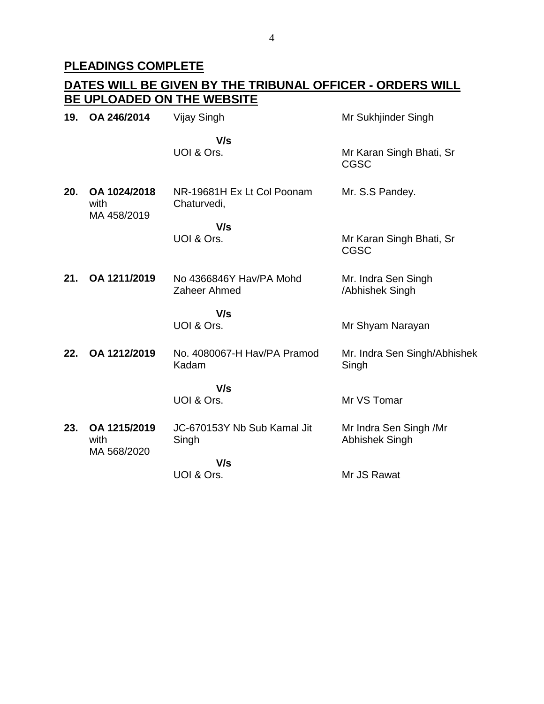## **PLEADINGS COMPLETE**

#### **DATES WILL BE GIVEN BY THE TRIBUNAL OFFICER - ORDERS WILL BE UPLOADED ON THE WEBSITE 19. OA 246/2014** Vijay Singh  **V/s** UOI & Ors. Mr Sukhjinder Singh Mr Karan Singh Bhati, Sr CGSC **20. OA 1024/2018** with MA 458/2019 NR-19681H Ex Lt Col Poonam Chaturvedi,  **V/s** UOI & Ors. Mr. S.S Pandey. Mr Karan Singh Bhati, Sr CGSC **21. OA 1211/2019** No 4366846Y Hav/PA Mohd Zaheer Ahmed  **V/s** UOI & Ors. Mr. Indra Sen Singh /Abhishek Singh Mr Shyam Narayan **22. OA 1212/2019** No. 4080067-H Hav/PA Pramod Kadam  **V/s** UOI & Ors. Mr. Indra Sen Singh/Abhishek Singh Mr VS Tomar **23. OA 1215/2019** with MA 568/2020 JC-670153Y Nb Sub Kamal Jit Singh  **V/s** UOI & Ors. Mr Indra Sen Singh /Mr Abhishek Singh Mr JS Rawat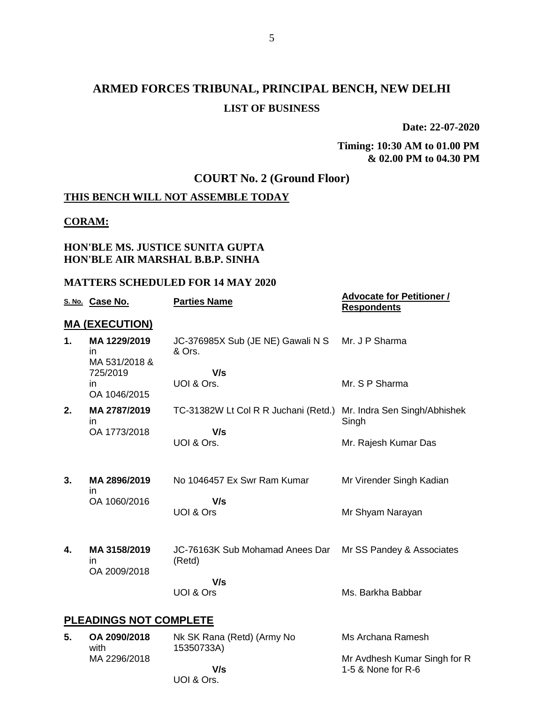# **ARMED FORCES TRIBUNAL, PRINCIPAL BENCH, NEW DELHI LIST OF BUSINESS**

**Date: 22-07-2020**

### **Timing: 10:30 AM to 01.00 PM & 02.00 PM to 04.30 PM**

# **COURT No. 2 (Ground Floor)**

# **THIS BENCH WILL NOT ASSEMBLE TODAY**

### **CORAM:**

### **HON'BLE MS. JUSTICE SUNITA GUPTA HON'BLE AIR MARSHAL B.B.P. SINHA**

### **MATTERS SCHEDULED FOR 14 MAY 2020**

|    | S. No. Case No.                     | <b>Parties Name</b>                         | <b>Advocate for Petitioner /</b><br><b>Respondents</b> |
|----|-------------------------------------|---------------------------------------------|--------------------------------------------------------|
|    | <b>MA (EXECUTION)</b>               |                                             |                                                        |
| 1. | MA 1229/2019<br>in<br>MA 531/2018 & | JC-376985X Sub (JE NE) Gawali N S<br>& Ors. | Mr. J P Sharma                                         |
|    | 725/2019<br>in<br>OA 1046/2015      | V/s<br>UOI & Ors.                           | Mr. S P Sharma                                         |
| 2. | MA 2787/2019<br>in.                 | TC-31382W Lt Col R R Juchani (Retd.)        | Mr. Indra Sen Singh/Abhishek<br>Singh                  |
|    | OA 1773/2018                        | V/s<br>UOI & Ors.                           | Mr. Rajesh Kumar Das                                   |
| 3. | MA 2896/2019<br>in                  | No 1046457 Ex Swr Ram Kumar                 | Mr Virender Singh Kadian                               |
|    | OA 1060/2016                        | V/s<br>UOI & Ors                            | Mr Shyam Narayan                                       |
| 4. | MA 3158/2019<br>in<br>OA 2009/2018  | JC-76163K Sub Mohamad Anees Dar<br>(Retd)   | Mr SS Pandey & Associates                              |
|    |                                     | V/s<br>UOI & Ors                            | Ms. Barkha Babbar                                      |
|    | <b>PLEADINGS NOT COMPLETE</b>       |                                             |                                                        |
| 5. | OA 2090/2018<br>with                | Nk SK Rana (Retd) (Army No<br>15350733A)    | Ms Archana Ramesh                                      |
|    | MA 2296/2018                        | V/s                                         | Mr Avdhesh Kumar Singh for R<br>1-5 & None for R-6     |

UOI & Ors.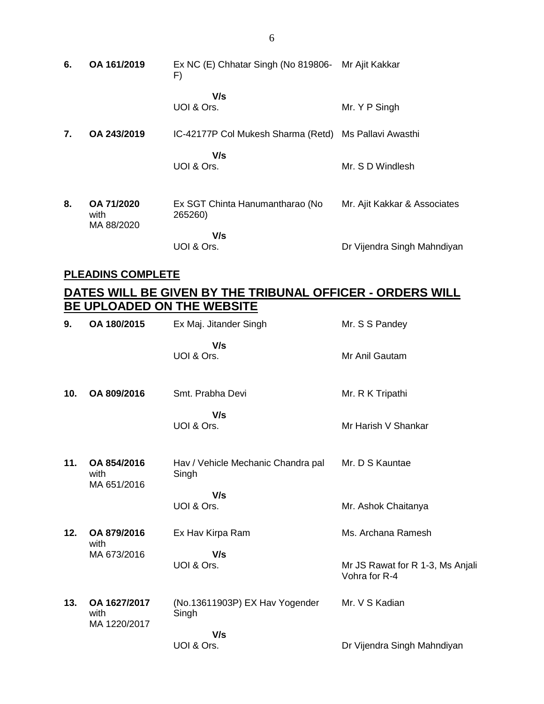**6. OA 161/2019** Ex NC (E) Chhatar Singh (No 819806- Mr Ajit Kakkar F)  **V/s** UOI & Ors. Mr. Y P Singh **7. OA 243/2019** IC-42177P Col Mukesh Sharma (Retd) Ms Pallavi Awasthi  **V/s** UOI & Ors. Mr. S D Windlesh **8. OA 71/2020** with MA 88/2020 Ex SGT Chinta Hanumantharao (No 265260)  **V/s** UOI & Ors. Mr. Ajit Kakkar & Associates Dr Vijendra Singh Mahndiyan

### **PLEADINS COMPLETE**

# **DATES WILL BE GIVEN BY THE TRIBUNAL OFFICER - ORDERS WILL BE UPLOADED ON THE WEBSITE**

| 9.  | OA 180/2015                        | Ex Maj. Jitander Singh                      | Mr. S S Pandey                                    |
|-----|------------------------------------|---------------------------------------------|---------------------------------------------------|
|     |                                    | V/s<br>UOI & Ors.                           | Mr Anil Gautam                                    |
| 10. | OA 809/2016                        | Smt. Prabha Devi                            | Mr. R K Tripathi                                  |
|     |                                    | V/s<br>UOI & Ors.                           | Mr Harish V Shankar                               |
| 11. | OA 854/2016<br>with<br>MA 651/2016 | Hav / Vehicle Mechanic Chandra pal<br>Singh | Mr. D S Kauntae                                   |
|     |                                    | V/s<br>UOI & Ors.                           | Mr. Ashok Chaitanya                               |
| 12. | OA 879/2016<br>with                | Ex Hav Kirpa Ram                            | Ms. Archana Ramesh                                |
|     | MA 673/2016                        | V/s<br>UOI & Ors.                           | Mr JS Rawat for R 1-3, Ms Anjali<br>Vohra for R-4 |
| 13. | OA 1627/2017<br>with               | (No.13611903P) EX Hav Yogender<br>Singh     | Mr. V S Kadian                                    |
|     | MA 1220/2017                       | V/s<br>UOI & Ors.                           | Dr Vijendra Singh Mahndiyan                       |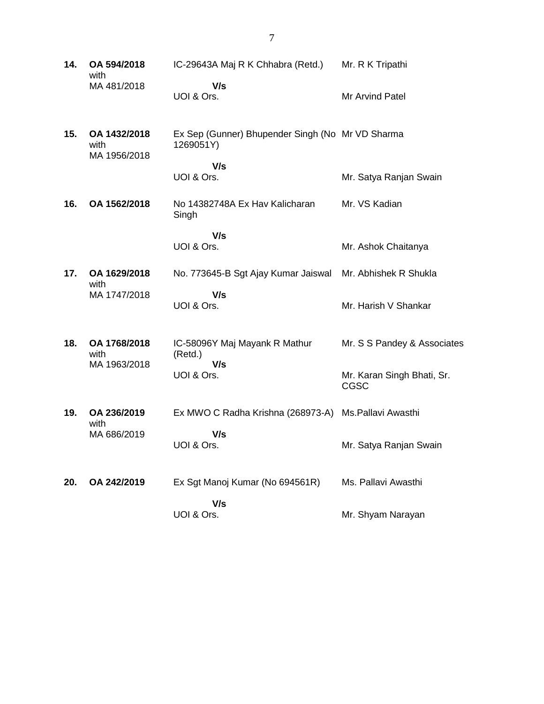**14. OA 594/2018** with MA 481/2018 IC-29643A Maj R K Chhabra (Retd.)  **V/s** UOI & Ors. Mr. R K Tripathi Mr Arvind Patel **15. OA 1432/2018** with MA 1956/2018 Ex Sep (Gunner) Bhupender Singh (No Mr VD Sharma 1269051Y)  **V/s** UOI & Ors. Mr. Satya Ranjan Swain **16. OA 1562/2018** No 14382748A Ex Hav Kalicharan Singh  **V/s** UOI & Ors. Mr. VS Kadian Mr. Ashok Chaitanya **17. OA 1629/2018** with MA 1747/2018 No. 773645-B Sgt Ajay Kumar Jaiswal Mr. Abhishek R Shukla  **V/s** UOI & Ors. Mr. Harish V Shankar **18. OA 1768/2018** with MA 1963/2018 IC-58096Y Maj Mayank R Mathur (Retd.)  **V/s** UOI & Ors. Mr. S S Pandey & Associates Mr. Karan Singh Bhati, Sr. CGSC **19. OA 236/2019** with MA 686/2019 Ex MWO C Radha Krishna (268973-A) Ms.Pallavi Awasthi  **V/s** UOI & Ors. Mr. Satya Ranjan Swain **20. OA 242/2019** Ex Sgt Manoj Kumar (No 694561R)  **V/s** UOI & Ors. Ms. Pallavi Awasthi Mr. Shyam Narayan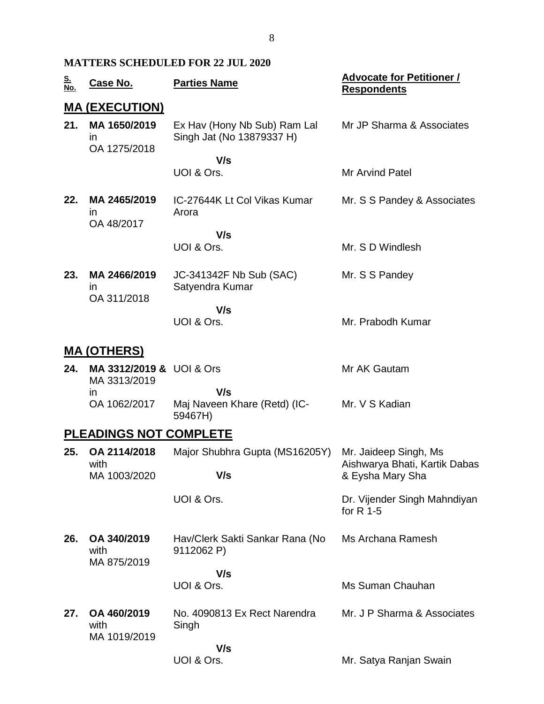### **MATTERS SCHEDULED FOR 22 JUL 2020**

| <u>S.</u><br><u>No.</u> | <u>Case No.</u>                          | <b>Parties Name</b>                                       | <b>Advocate for Petitioner /</b><br><b>Respondents</b>                     |
|-------------------------|------------------------------------------|-----------------------------------------------------------|----------------------------------------------------------------------------|
|                         | <u>MA (EXECUTION)</u>                    |                                                           |                                                                            |
| 21.                     | MA 1650/2019<br>in<br>OA 1275/2018       | Ex Hav (Hony Nb Sub) Ram Lal<br>Singh Jat (No 13879337 H) | Mr JP Sharma & Associates                                                  |
|                         |                                          | V/s<br>UOI & Ors.                                         | <b>Mr Arvind Patel</b>                                                     |
| 22.                     | MA 2465/2019<br>in<br>OA 48/2017         | IC-27644K Lt Col Vikas Kumar<br>Arora                     | Mr. S S Pandey & Associates                                                |
|                         |                                          | V/s<br>UOI & Ors.                                         | Mr. S D Windlesh                                                           |
| 23.                     | MA 2466/2019<br>in.<br>OA 311/2018       | JC-341342F Nb Sub (SAC)<br>Satyendra Kumar                | Mr. S S Pandey                                                             |
|                         |                                          | V/s<br>UOI & Ors.                                         | Mr. Prabodh Kumar                                                          |
|                         | <b>MA (OTHERS)</b>                       |                                                           |                                                                            |
| 24.                     | MA 3312/2019 & UOI & Ors<br>MA 3313/2019 |                                                           | Mr AK Gautam                                                               |
|                         | in<br>OA 1062/2017                       | V/s<br>Maj Naveen Khare (Retd) (IC-<br>59467H)            | Mr. V S Kadian                                                             |
|                         | <b>PLEADINGS NOT COMPLETE</b>            |                                                           |                                                                            |
| 25.                     | OA 2114/2018<br>with<br>MA 1003/2020     | Major Shubhra Gupta (MS16205Y)<br>V/s                     | Mr. Jaideep Singh, Ms<br>Aishwarya Bhati, Kartik Dabas<br>& Eysha Mary Sha |
|                         |                                          | UOI & Ors.                                                | Dr. Vijender Singh Mahndiyan<br>for $R$ 1-5                                |
| 26.                     | OA 340/2019<br>with<br>MA 875/2019       | Hav/Clerk Sakti Sankar Rana (No<br>9112062 P)             | Ms Archana Ramesh                                                          |
|                         |                                          | V/s<br>UOI & Ors.                                         | Ms Suman Chauhan                                                           |
| 27.                     | OA 460/2019<br>with                      | No. 4090813 Ex Rect Narendra<br>Singh                     | Mr. J P Sharma & Associates                                                |
|                         | MA 1019/2019                             | V/s<br>UOI & Ors.                                         | Mr. Satya Ranjan Swain                                                     |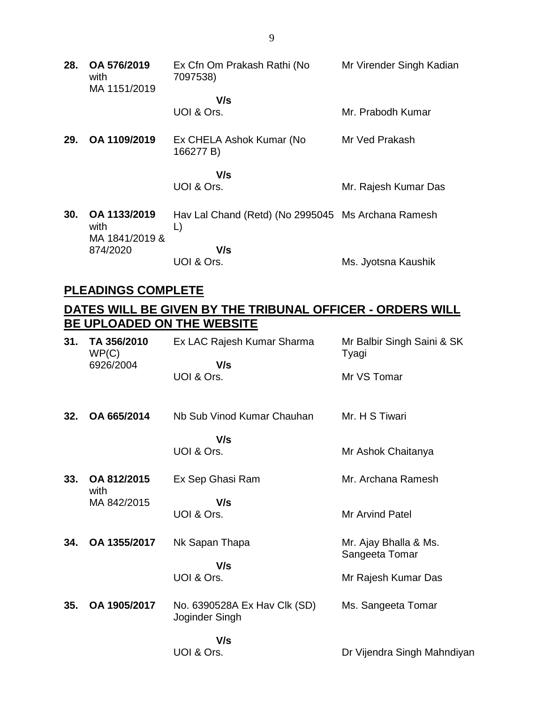| 28. | OA 576/2019<br>with<br>MA 1151/2019    | Ex Cfn Om Prakash Rathi (No<br>7097538)                  | Mr Virender Singh Kadian |
|-----|----------------------------------------|----------------------------------------------------------|--------------------------|
|     |                                        | V/s                                                      |                          |
|     |                                        | UOI & Ors.                                               | Mr. Prabodh Kumar        |
| 29. | OA 1109/2019                           | Ex CHELA Ashok Kumar (No<br>166277 B)                    | Mr Ved Prakash           |
|     |                                        | V/s<br>UOI & Ors.                                        | Mr. Rajesh Kumar Das     |
| 30. | OA 1133/2019<br>with<br>MA 1841/2019 & | Hav Lal Chand (Retd) (No 2995045 Ms Archana Ramesh<br>L) |                          |
|     | 874/2020                               | V/s                                                      |                          |
|     |                                        | UOI & Ors.                                               | Ms. Jyotsna Kaushik      |

# **PLEADINGS COMPLETE**

# **DATES WILL BE GIVEN BY THE TRIBUNAL OFFICER - ORDERS WILL BE UPLOADED ON THE WEBSITE**

| 31. | TA 356/2010<br>WP(C)<br>6926/2004 | Ex LAC Rajesh Kumar Sharma<br>V/s              | Mr Balbir Singh Saini & SK<br>Tyagi     |
|-----|-----------------------------------|------------------------------------------------|-----------------------------------------|
|     |                                   | UOI & Ors.                                     | Mr VS Tomar                             |
| 32. | OA 665/2014                       | Nb Sub Vinod Kumar Chauhan                     | Mr. H S Tiwari                          |
|     |                                   | V/s<br>UOI & Ors.                              | Mr Ashok Chaitanya                      |
| 33. | OA 812/2015<br>with               | Ex Sep Ghasi Ram                               | Mr. Archana Ramesh                      |
|     | MA 842/2015                       | V/s<br>UOI & Ors.                              | <b>Mr Arvind Patel</b>                  |
| 34. | OA 1355/2017                      | Nk Sapan Thapa                                 | Mr. Ajay Bhalla & Ms.<br>Sangeeta Tomar |
|     |                                   | V/s<br>UOI & Ors.                              | Mr Rajesh Kumar Das                     |
| 35. | OA 1905/2017                      | No. 6390528A Ex Hav Clk (SD)<br>Joginder Singh | Ms. Sangeeta Tomar                      |
|     |                                   | V/s<br>UOI & Ors.                              | Dr Vijendra Singh Mahndiyan             |

9